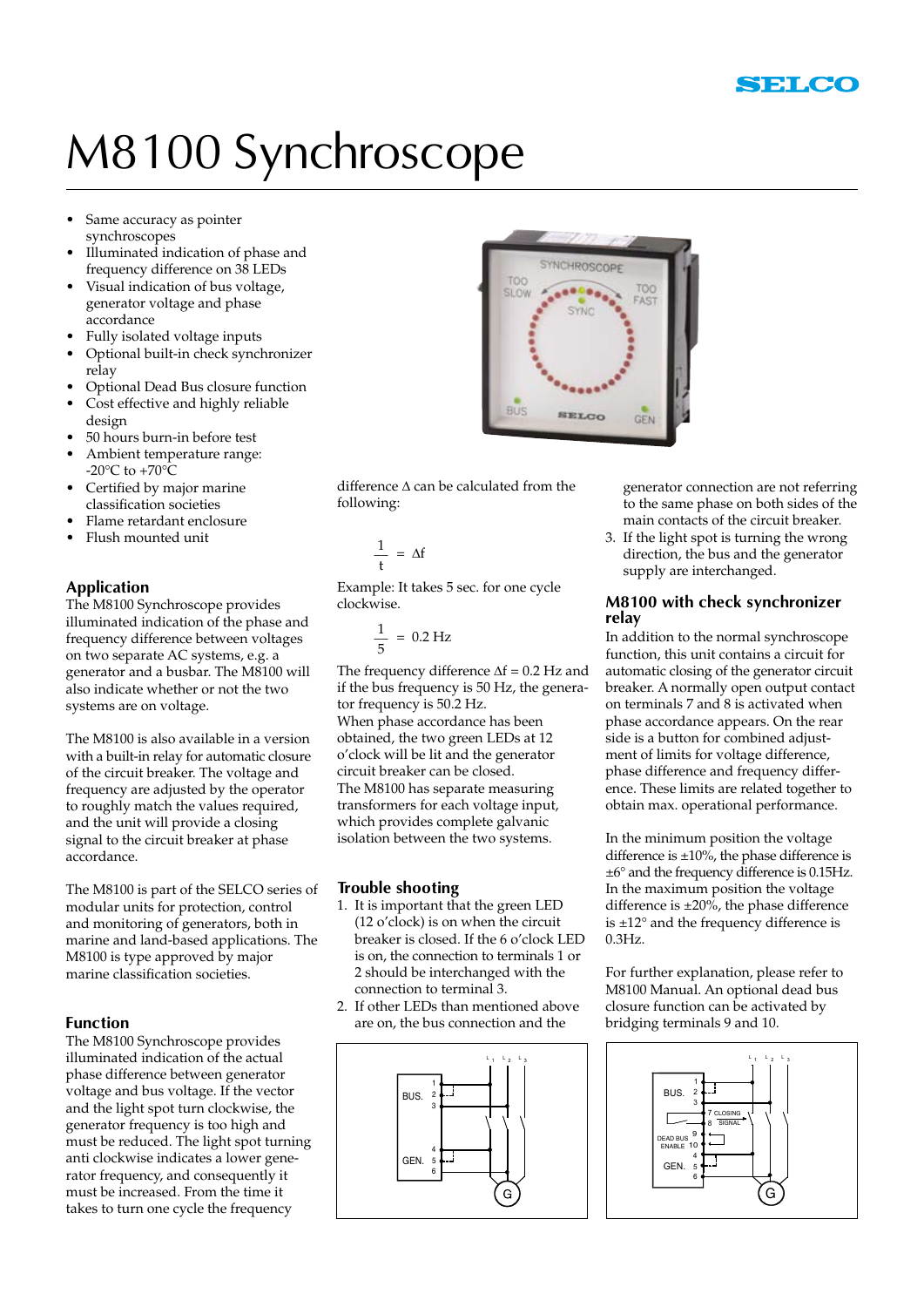

## M8100 Synchroscope

- Same accuracy as pointer synchroscopes
- Illuminated indication of phase and frequency difference on 38 LEDs
- Visual indication of bus voltage, generator voltage and phase accordance
- Fully isolated voltage inputs
- Optional built-in check synchronizer relay
- Optional Dead Bus closure function
- Cost effective and highly reliable design
- 50 hours burn-in before test
- Ambient temperature range: -20 $^{\circ}$ C to +70 $^{\circ}$ C
- Certified by major marine
- classification societies Flame retardant enclosure
- Flush mounted unit
- 

#### **Application**

The M8100 Synchroscope provides illuminated indication of the phase and frequency difference between voltages on two separate AC systems, e.g. a generator and a busbar. The M8100 will also indicate whether or not the two systems are on voltage.

The M8100 is also available in a version with a built-in relay for automatic closure of the circuit breaker. The voltage and frequency are adjusted by the operator to roughly match the values required, and the unit will provide a closing signal to the circuit breaker at phase accordance.

The M8100 is part of the SELCO series of modular units for protection, control and monitoring of generators, both in marine and land-based applications. The M8100 is type approved by major marine classification societies.

#### **Function**

The M8100 Synchroscope provides illuminated indication of the actual phase difference between generator voltage and bus voltage. If the vector and the light spot turn clockwise, the generator frequency is too high and must be reduced. The light spot turning anti clockwise indicates a lower generator frequency, and consequently it must be increased. From the time it takes to turn one cycle the frequency



difference  $\Delta$  can be calculated from the following:

$$
\frac{1}{t} = \Delta f
$$

Example: It takes 5 sec. for one cycle clockwise.

$$
\frac{1}{5} = 0.2 \text{ Hz}
$$

The frequency difference  $\Delta f = 0.2$  Hz and if the bus frequency is 50 Hz, the generator frequency is 50.2 Hz. When phase accordance has been obtained, the two green LEDs at 12 o'clock will be lit and the generator circuit breaker can be closed. The M8100 has separate measuring transformers for each voltage input, which provides complete galvanic isolation between the two systems.

#### **Trouble shooting**

- 1. It is important that the green LED (12 o'clock) is on when the circuit breaker is closed. If the 6 o'clock LED is on, the connection to terminals 1 or 2 should be interchanged with the connection to terminal 3.
- 2. If other LEDs than mentioned above are on, the bus connection and the



 generator connection are not referring to the same phase on both sides of the main contacts of the circuit breaker.

3. If the light spot is turning the wrong direction, the bus and the generator supply are interchanged.

#### **M8100 with check synchronizer relay**

In addition to the normal synchroscope function, this unit contains a circuit for automatic closing of the generator circuit breaker. A normally open output contact on terminals 7 and 8 is activated when phase accordance appears. On the rear side is a button for combined adjustment of limits for voltage difference, phase difference and frequency difference. These limits are related together to obtain max. operational performance.

In the minimum position the voltage difference is  $\pm 10\%$ , the phase difference is ±6° and the frequency difference is 0.15Hz. In the maximum position the voltage difference is  $\pm 20\%$ , the phase difference is ±12° and the frequency difference is 0.3Hz.

For further explanation, please refer to M8100 Manual. An optional dead bus closure function can be activated by bridging terminals 9 and 10.